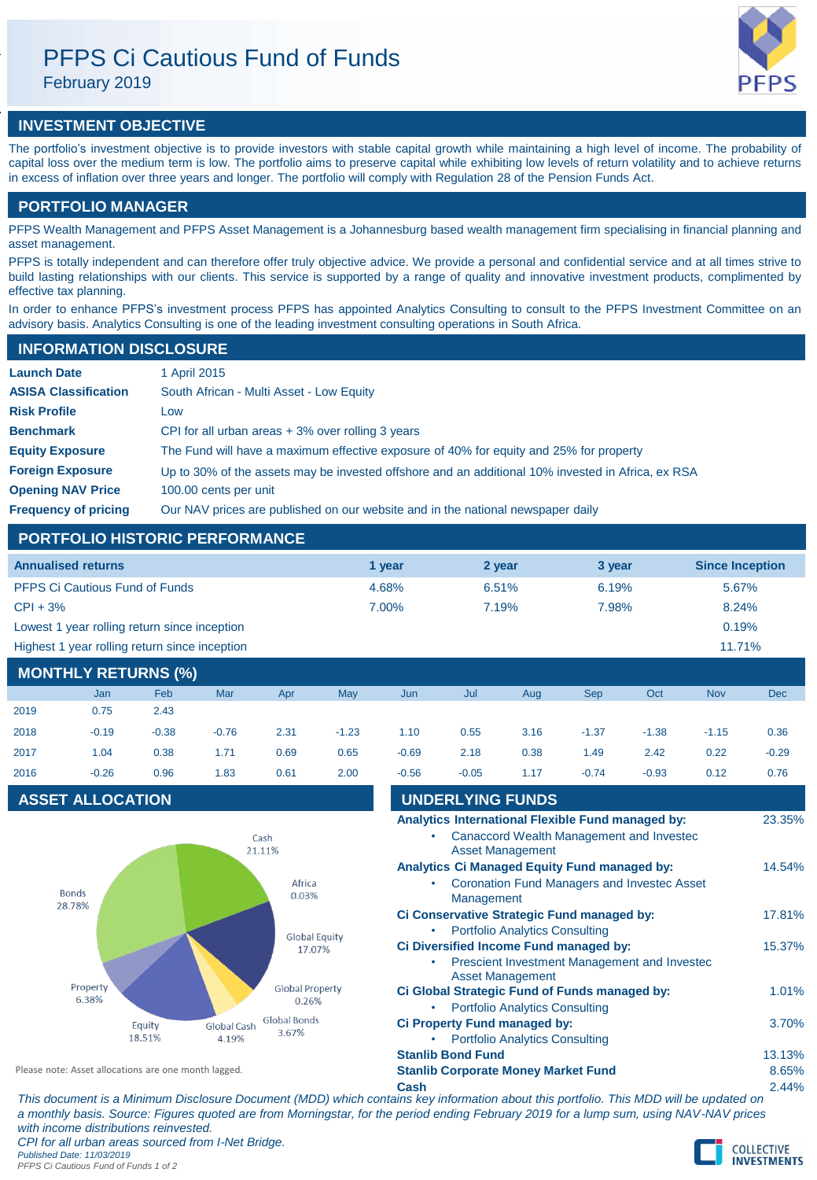# PFPS Ci Cautious Fund of Funds

February 2019

## **INVESTMENT OBJECTIVE**

The portfolio's investment objective is to provide investors with stable capital growth while maintaining a high level of income. The probability of capital loss over the medium term is low. The portfolio aims to preserve capital while exhibiting low levels of return volatility and to achieve returns in excess of inflation over three years and longer. The portfolio will comply with Regulation 28 of the Pension Funds Act.

### **PORTFOLIO MANAGER**

PFPS Wealth Management and PFPS Asset Management is a Johannesburg based wealth management firm specialising in financial planning and asset management.

PFPS is totally independent and can therefore offer truly objective advice. We provide a personal and confidential service and at all times strive to build lasting relationships with our clients. This service is supported by a range of quality and innovative investment products, complimented by effective tax planning.

In order to enhance PFPS's investment process PFPS has appointed Analytics Consulting to consult to the PFPS Investment Committee on an advisory basis. Analytics Consulting is one of the leading investment consulting operations in South Africa.

### **INFORMATION DISCLOSURE**

| <b>Launch Date</b>          | 1 April 2015                                                                                      |
|-----------------------------|---------------------------------------------------------------------------------------------------|
| <b>ASISA Classification</b> | South African - Multi Asset - Low Equity                                                          |
| <b>Risk Profile</b>         | Low                                                                                               |
| <b>Benchmark</b>            | CPI for all urban areas $+3\%$ over rolling 3 years                                               |
| <b>Equity Exposure</b>      | The Fund will have a maximum effective exposure of 40% for equity and 25% for property            |
| <b>Foreign Exposure</b>     | Up to 30% of the assets may be invested offshore and an additional 10% invested in Africa, ex RSA |
| <b>Opening NAV Price</b>    | 100.00 cents per unit                                                                             |
| <b>Frequency of pricing</b> | Our NAV prices are published on our website and in the national newspaper daily                   |

### **PORTFOLIO HISTORIC PERFORMANCE**

| <b>Annualised returns</b>                     | 1 vear   | 2 year | 3 year | <b>Since Inception</b> |
|-----------------------------------------------|----------|--------|--------|------------------------|
| <b>PFPS Ci Cautious Fund of Funds</b>         | 4.68%    | 6.51%  | 6.19%  | 5.67%                  |
| $CPI + 3%$                                    | $7.00\%$ | 7.19%  | 7.98%  | 8.24%                  |
| Lowest 1 year rolling return since inception  |          |        |        | 0.19%                  |
| Highest 1 year rolling return since inception |          |        |        | $11.71\%$              |

### **MONTHLY RETURNS (%)**

|      | <b>Jan</b> | Feb     | Mar     | Apr  | <b>May</b> | Jun     | Jul     | Aug  | <b>Sep</b> | Oct     | <b>Nov</b> | <b>Dec</b> |
|------|------------|---------|---------|------|------------|---------|---------|------|------------|---------|------------|------------|
| 2019 | 0.75       | 2.43    |         |      |            |         |         |      |            |         |            |            |
| 2018 | $-0.19$    | $-0.38$ | $-0.76$ | 2.31 | $-1.23$    | 1.10    | 0.55    | 3.16 | $-1.37$    | $-1.38$ | $-1.15$    | 0.36       |
| 2017 | 1.04       | 0.38    | 1.71    | 0.69 | 0.65       | $-0.69$ | 2.18    | 0.38 | 1.49       | 2.42    | 0.22       | $-0.29$    |
| 2016 | $-0.26$    | 0.96    | 1.83    | 0.61 | 2.00       | $-0.56$ | $-0.05$ | 1.17 | $-0.74$    | $-0.93$ | 0.12       | 0.76       |

### **ASSET ALLOCATION**



| 2016                                                 | $-0.26$                 | 0.96                 | 1.83                 | 0.61                            | 2.00                                       | $-0.56$                                    | $-0.05$                                                    | 1.17                                  | $-0.74$ | $-0.93$                                                                                       | 0.12  | 0.76   |
|------------------------------------------------------|-------------------------|----------------------|----------------------|---------------------------------|--------------------------------------------|--------------------------------------------|------------------------------------------------------------|---------------------------------------|---------|-----------------------------------------------------------------------------------------------|-------|--------|
|                                                      | <b>ASSET ALLOCATION</b> |                      |                      |                                 |                                            |                                            | <b>UNDERLYING FUNDS</b>                                    |                                       |         |                                                                                               |       |        |
|                                                      |                         |                      |                      | Cash<br>21.11%                  |                                            |                                            |                                                            | <b>Asset Management</b>               |         | Analytics International Flexible Fund managed by:<br>Canaccord Wealth Management and Invested |       | 23.35% |
|                                                      | <b>Bonds</b>            |                      |                      | Africa<br>0.03%                 |                                            |                                            | Analytics Ci Managed Equity Fund managed by:<br>Management |                                       |         | Coronation Fund Managers and Invested Asset                                                   |       | 14.54% |
| 28.78%                                               |                         | <b>Global Equity</b> |                      |                                 | Ci Conservative Strategic Fund managed by: | <b>Portfolio Analytics Consulting</b>      |                                                            |                                       |         | 17.81%                                                                                        |       |        |
|                                                      |                         |                      |                      | 17.07%                          |                                            |                                            | Ci Diversified Income Fund managed by:                     | <b>Asset Management</b>               |         | Prescient Investment Management and Invested                                                  |       | 15.37% |
|                                                      | Property<br>6.38%       |                      |                      | <b>Global Property</b><br>0.26% |                                            |                                            | Ci Global Strategic Fund of Funds managed by:              | <b>Portfolio Analytics Consulting</b> |         |                                                                                               |       | 1.01%  |
|                                                      |                         | Equity<br>18.51%     | Global Cash<br>4.19% | <b>Global Bonds</b><br>3.67%    |                                            |                                            | <b>Ci Property Fund managed by:</b>                        | <b>Portfolio Analytics Consulting</b> |         |                                                                                               |       | 3.70%  |
|                                                      |                         |                      |                      |                                 |                                            |                                            | <b>Stanlib Bond Fund</b>                                   |                                       |         |                                                                                               |       | 13.13% |
| Please note: Asset allocations are one month lagged. |                         |                      |                      |                                 |                                            | <b>Stanlib Corporate Money Market Fund</b> |                                                            |                                       |         |                                                                                               | 8.65% |        |
|                                                      |                         |                      |                      |                                 |                                            | Cash                                       |                                                            |                                       |         |                                                                                               |       | 2.44%  |

*This document is a Minimum Disclosure Document (MDD) which contains key information about this portfolio. This MDD will be updated on a monthly basis. Source: Figures quoted are from Morningstar, for the period ending February 2019 for a lump sum, using NAV-NAV prices with income distributions reinvested. CPI for all urban areas sourced from I-Net Bridge.*

*Published Date: 11/03/2019 PFPS Ci Cautious Fund of Funds 1 of 2*